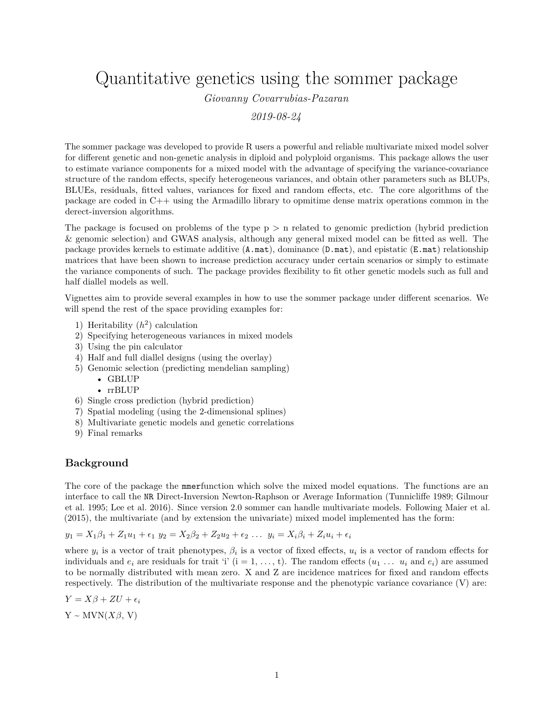Quantitative genetics using the sommer package

*Giovanny Covarrubias-Pazaran*

*2019-08-24*

The sommer package was developed to provide R users a powerful and reliable multivariate mixed model solver for different genetic and non-genetic analysis in diploid and polyploid organisms. This package allows the user to estimate variance components for a mixed model with the advantage of specifying the variance-covariance structure of the random effects, specify heterogeneous variances, and obtain other parameters such as BLUPs, BLUEs, residuals, fitted values, variances for fixed and random effects, etc. The core algorithms of the package are coded in C++ using the Armadillo library to opmitime dense matrix operations common in the derect-inversion algorithms.

The package is focused on problems of the type  $p > n$  related to genomic prediction (hybrid prediction) & genomic selection) and GWAS analysis, although any general mixed model can be fitted as well. The package provides kernels to estimate additive  $(A.\text{mat})$ , dominance  $(D.\text{mat})$ , and epistatic  $(E.\text{mat})$  relationship matrices that have been shown to increase prediction accuracy under certain scenarios or simply to estimate the variance components of such. The package provides flexibility to fit other genetic models such as full and half diallel models as well.

Vignettes aim to provide several examples in how to use the sommer package under different scenarios. We will spend the rest of the space providing examples for:

- 1) Heritability  $(h^2)$  calculation
- 2) Specifying heterogeneous variances in mixed models
- 3) Using the pin calculator
- 4) Half and full diallel designs (using the overlay)
- 5) Genomic selection (predicting mendelian sampling)
	- GBLUP
	- rrBLUP
- 6) Single cross prediction (hybrid prediction)
- 7) Spatial modeling (using the 2-dimensional splines)
- 8) Multivariate genetic models and genetic correlations
- 9) Final remarks

#### **Background**

The core of the package the mmerfunction which solve the mixed model equations. The functions are an interface to call the NR Direct-Inversion Newton-Raphson or Average Information (Tunnicliffe 1989; Gilmour et al. 1995; Lee et al. 2016). Since version 2.0 sommer can handle multivariate models. Following Maier et al. (2015), the multivariate (and by extension the univariate) mixed model implemented has the form:

 $y_1 = X_1\beta_1 + Z_1u_1 + \epsilon_1$   $y_2 = X_2\beta_2 + Z_2u_2 + \epsilon_2$  ...  $y_i = X_i\beta_i + Z_iu_i + \epsilon_i$ 

where  $y_i$  is a vector of trait phenotypes,  $\beta_i$  is a vector of fixed effects,  $u_i$  is a vector of random effects for individuals and  $e_i$  are residuals for trait 'i' (i = 1, ..., t). The random effects  $(u_1 \ldots u_i$  and  $e_i$ ) are assumed to be normally distributed with mean zero. X and Z are incidence matrices for fixed and random effects respectively. The distribution of the multivariate response and the phenotypic variance covariance (V) are:

 $Y = X\beta + ZU + \epsilon_i$  $Y \sim MVN(X\beta, V)$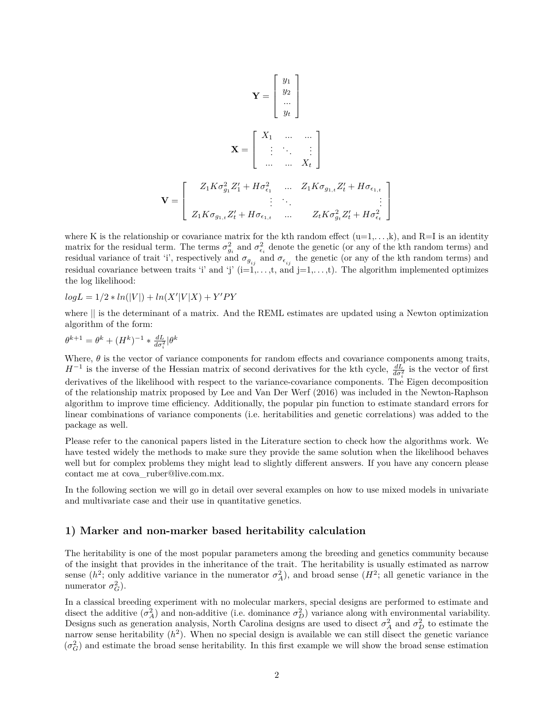$$
\mathbf{Y} = \begin{bmatrix} y_1 \\ y_2 \\ \dots \\ y_t \end{bmatrix}
$$

$$
\mathbf{X} = \begin{bmatrix} X_1 & \dots & \dots \\ \vdots & \ddots & \vdots \\ \dots & \dots & X_t \end{bmatrix}
$$

$$
\mathbf{V} = \begin{bmatrix} Z_1 K \sigma_{g_1}^2 Z_1' + H \sigma_{\epsilon_1}^2 & \dots & Z_1 K \sigma_{g_{1,t}} Z_t' + H \sigma_{\epsilon_{1,t}} \\ \vdots & \ddots & \vdots \\ Z_1 K \sigma_{g_{1,t}} Z_t' + H \sigma_{\epsilon_{1,t}} & \dots & Z_t K \sigma_{g_t}^2 Z_t' + H \sigma_{\epsilon_t}^2 \end{bmatrix}
$$

where K is the relationship or covariance matrix for the kth random effect  $(u=1,\ldots,k)$ , and  $R=I$  is an identity matrix for the residual term. The terms  $\sigma_{g_i}^2$  and  $\sigma_{\epsilon_i}^2$  denote the genetic (or any of the kth random terms) and residual variance of trait 'i', respectively and  $\sigma_{g_{ij}}$  and  $\sigma_{\epsilon_{ij}}$  the genetic (or any of the kth random terms) and residual covariance between traits 'i' and 'j'  $(i=1,\ldots,t,$  and  $j=1,\ldots,t)$ . The algorithm implemented optimizes the log likelihood:

$$
log L = 1/2 * ln(|V|) + ln(X'|V|X) + Y'PY
$$

where || is the determinant of a matrix. And the REML estimates are updated using a Newton optimization algorithm of the form:

$$
\theta^{k+1} = \theta^k + (H^k)^{-1} * \tfrac{dL}{d\sigma_i^2}|\theta^k
$$

Where,  $\theta$  is the vector of variance components for random effects and covariance components among traits,  $H^{-1}$  is the inverse of the Hessian matrix of second derivatives for the kth cycle,  $\frac{dL}{d\sigma_i^2}$  is the vector of first derivatives of the likelihood with respect to the variance-covariance components. The Eigen decomposition of the relationship matrix proposed by Lee and Van Der Werf (2016) was included in the Newton-Raphson algorithm to improve time efficiency. Additionally, the popular pin function to estimate standard errors for linear combinations of variance components (i.e. heritabilities and genetic correlations) was added to the package as well.

Please refer to the canonical papers listed in the Literature section to check how the algorithms work. We have tested widely the methods to make sure they provide the same solution when the likelihood behaves well but for complex problems they might lead to slightly different answers. If you have any concern please contact me at cova ruber@live.com.mx.

In the following section we will go in detail over several examples on how to use mixed models in univariate and multivariate case and their use in quantitative genetics.

#### **1) Marker and non-marker based heritability calculation**

The heritability is one of the most popular parameters among the breeding and genetics community because of the insight that provides in the inheritance of the trait. The heritability is usually estimated as narrow sense ( $h^2$ ; only additive variance in the numerator  $\sigma_A^2$ ), and broad sense ( $H^2$ ; all genetic variance in the numerator  $\sigma_G^2$ ).

In a classical breeding experiment with no molecular markers, special designs are performed to estimate and disect the additive  $(\sigma_A^2)$  and non-additive (i.e. dominance  $\sigma_D^2$ ) variance along with environmental variability. Designs such as generation analysis, North Carolina designs are used to disect  $\sigma_A^2$  and  $\sigma_D^2$  to estimate the narrow sense heritability  $(h^2)$ . When no special design is available we can still disect the genetic variance  $(\sigma_G^2)$  and estimate the broad sense heritability. In this first example we will show the broad sense estimation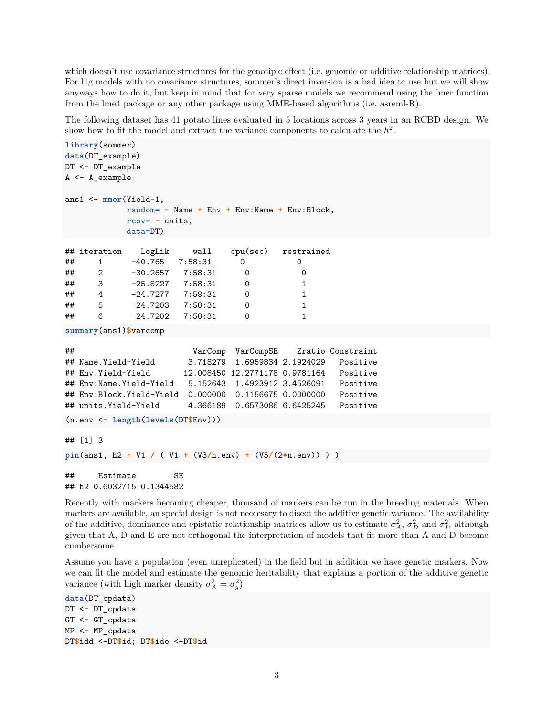which doesn't use covariance structures for the genotipic effect (i.e. genomic or additive relationship matrices). For big models with no covariance structures, sommer's direct inversion is a bad idea to use but we will show anyways how to do it, but keep in mind that for very sparse models we recommend using the lmer function from the lme4 package or any other package using MME-based algorithms (i.e. asreml-R).

The following dataset has 41 potato lines evaluated in 5 locations across 3 years in an RCBD design. We show how to fit the model and extract the variance components to calculate the  $h^2$ .

```
library(sommer)
data(DT_example)
DT <- DT_example
A <- A_example
ans1 <- mmer(Yield~1,
          random= ~ Name + Env + Env:Name + Env:Block,
          rcov= ~ units,
          data=DT)
## iteration LogLik wall cpu(sec) restrained
## 1 -40.765 7:58:31 0 0
## 2 -30.2657 7:58:31 0 0
## 3 -25.8227 7:58:31 0 1
## 4 -24.7277 7:58:31 0 1
## 5 -24.7203 7:58:31 0 1
## 6 -24.7202 7:58:31 0 1
summary(ans1)$varcomp
## VarComp VarCompSE Zratio Constraint
## Name.Yield-Yield 3.718279 1.6959834 2.1924029 Positive
## Env.Yield-Yield 12.008450 12.2771178 0.9781164 Positive
## Env:Name.Yield-Yield 5.152643 1.4923912 3.4526091 Positive
## Env:Block.Yield-Yield 0.000000 0.1156675 0.0000000 Positive
## units.Yield-Yield 4.366189 0.6573086 6.6425245 Positive
(n.env <- length(levels(DT$Env)))
## [1] 3
pin(ans1, h2 ~ V1 / ( V1 + (V3/n.env) + (V5/(2*n.env)) ) )
## Estimate SE
## h2 0.6032715 0.1344582
```
Recently with markers becoming cheaper, thousand of markers can be run in the breeding materials. When markers are available, an special design is not neccesary to disect the additive genetic variance. The availability of the additive, dominance and epistatic relationship matrices allow us to estimate  $\sigma_A^2$ ,  $\sigma_D^2$  and  $\sigma_I^2$ , although given that A, D and E are not orthogonal the interpretation of models that fit more than A and D become cumbersome.

Assume you have a population (even unreplicated) in the field but in addition we have genetic markers. Now we can fit the model and estimate the genomic heritability that explains a portion of the additive genetic variance (with high marker density  $\sigma_A^2 = \sigma_g^2$ )

```
data(DT_cpdata)
DT <- DT_cpdata
GT <- GT_cpdata
MP <- MP_cpdata
DT$idd <-DT$id; DT$ide <-DT$id
```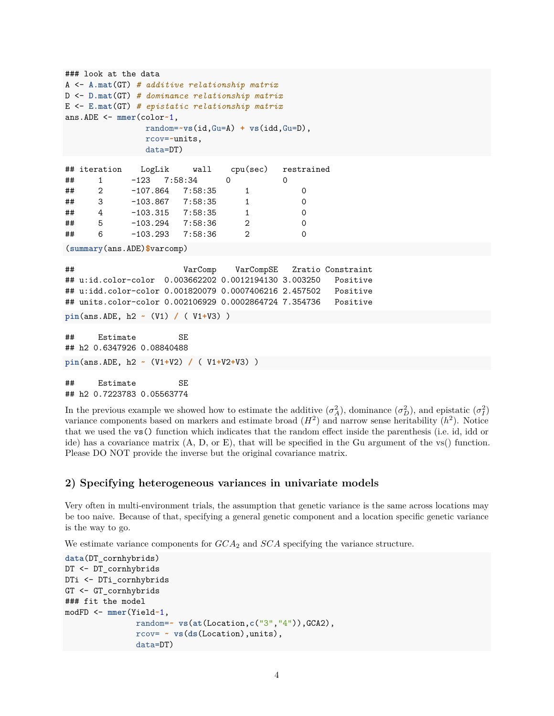```
### look at the data
A <- A.mat(GT) # additive relationship matrix
D <- D.mat(GT) # dominance relationship matrix
E <- E.mat(GT) # epistatic relationship matrix
ans.ADE <- mmer(color~1,
                 random=~vs(id,Gu=A) + vs(idd,Gu=D),
                 rcov=~units,
                 data=DT)
```

|    | ## iteration   |                      | LogLik wall |   | cpu(sec) restrained |
|----|----------------|----------------------|-------------|---|---------------------|
| ## |                | $-123$ $7:58:34$     |             |   |                     |
| ## | $\overline{2}$ | $-107.864$ $7:58:35$ |             |   |                     |
| ## | 3 <sup>1</sup> | $-103.867$ $7:58:35$ |             |   |                     |
| ## | 4              | $-103.315$ $7:58:35$ |             |   | O                   |
| ## | 5              | $-103.294$ 7:58:36   |             | 2 | $\Omega$            |
| ## | 6              | $-103.293$ $7:58:36$ |             | 2 |                     |

(**summary**(ans.ADE)**\$**varcomp)

## VarComp VarCompSE Zratio Constraint ## u:id.color-color 0.003662202 0.0012194130 3.003250 Positive ## u:idd.color-color 0.001820079 0.0007406216 2.457502 Positive ## units.color-color 0.002106929 0.0002864724 7.354736 Positive

```
pin(ans.ADE, h2 ~ (V1) / ( V1+V3) )
```
## Estimate SE ## h2 0.6347926 0.08840488 **pin**(ans.ADE, h2 **~** (V1**+**V2) **/** ( V1**+**V2**+**V3) )

## Estimate SE ## h2 0.7223783 0.05563774

In the previous example we showed how to estimate the additive  $(\sigma_A^2)$ , dominance  $(\sigma_D^2)$ , and epistatic  $(\sigma_I^2)$ variance components based on markers and estimate broad  $(H^2)$  and narrow sense heritability  $(h^2)$ . Notice that we used the vs() function which indicates that the random effect inside the parenthesis (i.e. id, idd or ide) has a covariance matrix (A, D, or E), that will be specified in the Gu argument of the vs() function. Please DO NOT provide the inverse but the original covariance matrix.

### **2) Specifying heterogeneous variances in univariate models**

Very often in multi-environment trials, the assumption that genetic variance is the same across locations may be too naive. Because of that, specifying a general genetic component and a location specific genetic variance is the way to go.

We estimate variance components for *GCA*<sup>2</sup> and *SCA* specifying the variance structure.

```
data(DT_cornhybrids)
DT <- DT_cornhybrids
DTi <- DTi_cornhybrids
GT <- GT_cornhybrids
### fit the model
modFD <- mmer(Yield~1,
               random=~ vs(at(Location,c("3","4")),GCA2),
               rcov= ~ vs(ds(Location),units),
               data=DT)
```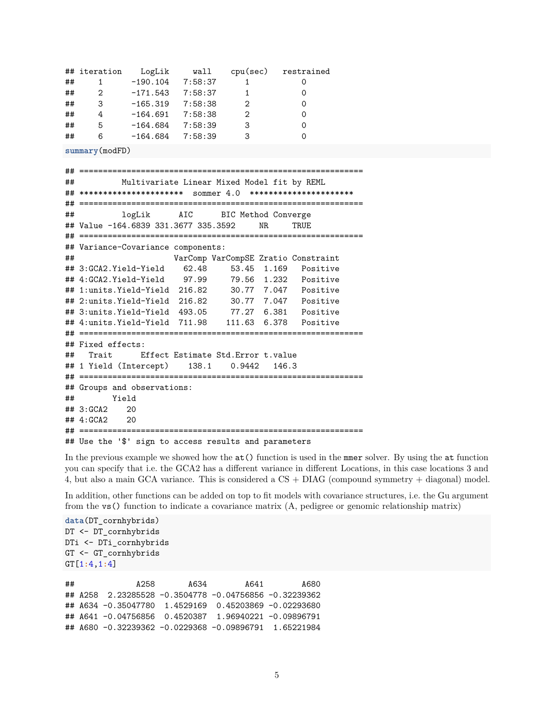|    | ## iteration | LogLik     | wall    | cpu(sec)                    | restrained |
|----|--------------|------------|---------|-----------------------------|------------|
| ## |              | $-190.104$ | 7:58:37 |                             |            |
| ## | 2            | $-171.543$ | 7:58:37 |                             |            |
| ## | 3            | $-165.319$ | 7:58:38 | $\mathcal{D}_{\mathcal{L}}$ |            |
| ## | 4            | $-164.691$ | 7:58:38 | $\mathcal{D}_{\mathcal{L}}$ |            |
| ## | 5            | $-164.684$ | 7:58:39 | 3                           |            |
| ## | 6            | $-164.684$ | 7:58:39 | 3                           |            |

**summary**(modFD)

## ============================================================ ## Multivariate Linear Mixed Model fit by REML ## \*\*\*\*\*\*\*\*\*\*\*\*\*\*\*\*\*\*\*\*\*\* sommer 4.0 \*\*\*\*\*\*\*\*\*\*\*\*\*\*\*\*\*\*\*\*\*\* ## ============================================================ ## logLik AIC BIC Method Converge ## Value -164.6839 331.3677 335.3592 NR TRUE ## ============================================================ ## Variance-Covariance components: ## VarComp VarCompSE Zratio Constraint ## 3:GCA2.Yield-Yield 62.48 53.45 1.169 Positive ## 4:GCA2.Yield-Yield 97.99 79.56 1.232 Positive ## 1:units.Yield-Yield 216.82 30.77 7.047 Positive ## 2:units.Yield-Yield 216.82 30.77 7.047 Positive ## 3:units.Yield-Yield 493.05 77.27 6.381 Positive ## 4:units.Yield-Yield 711.98 111.63 6.378 Positive ## ============================================================ ## Fixed effects: ## Trait Effect Estimate Std.Error t.value ## 1 Yield (Intercept) 138.1 0.9442 146.3 ## ============================================================ ## Groups and observations: ## Yield ## 3:GCA2 20 ## 4:GCA2 20 ## ============================================================ ## Use the '\$' sign to access results and parameters

In the previous example we showed how the  $at()$  function is used in the mmer solver. By using the at function you can specify that i.e. the GCA2 has a different variance in different Locations, in this case locations 3 and 4, but also a main GCA variance. This is considered a CS + DIAG (compound symmetry + diagonal) model.

In addition, other functions can be added on top to fit models with covariance structures, i.e. the Gu argument from the vs() function to indicate a covariance matrix (A, pedigree or genomic relationship matrix)

**data**(DT\_cornhybrids) DT <- DT\_cornhybrids DTi <- DTi\_cornhybrids GT <- GT\_cornhybrids GT[1**:**4,1**:**4]

| ## | A258                                                  | A634 | A641 | A680 |
|----|-------------------------------------------------------|------|------|------|
|    |                                                       |      |      |      |
|    | ## A634 -0.35047780 1.4529169 0.45203869 -0.02293680  |      |      |      |
|    |                                                       |      |      |      |
|    | ## A680 -0.32239362 -0.0229368 -0.09896791 1.65221984 |      |      |      |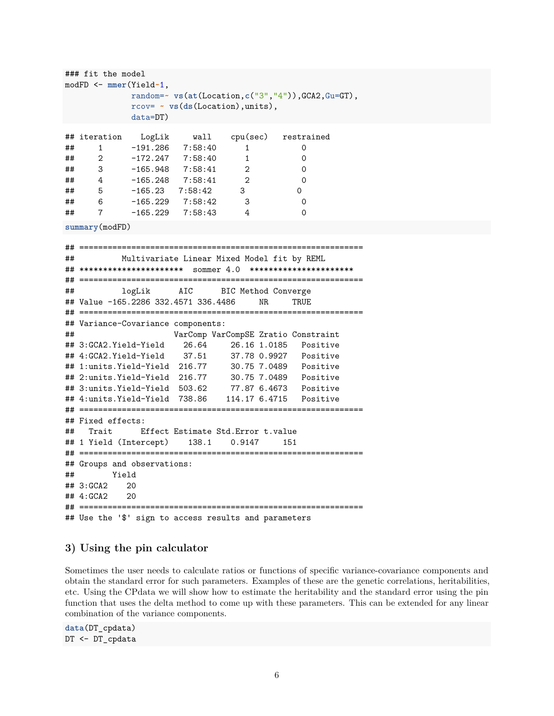```
### fit the model
modFD <- mmer(Yield~1,
           random=~ vs(at(Location,c("3","4")),GCA2,Gu=GT),
           rcov= ~ vs(ds(Location),units),
           data=DT)
## iteration LogLik wall cpu(sec) restrained
## 1 -191.286 7:58:40 1 0
## 2 -172.247 7:58:40 1 0
## 3 -165.948 7:58:41 2 0
## 4 -165.248 7:58:41 2 0
## 5 -165.23 7:58:42 3 0
## 6 -165.229 7:58:42 3 0
## 7 -165.229 7:58:43 4 0
summary(modFD)
## ============================================================
## Multivariate Linear Mixed Model fit by REML
## ********************** sommer 4.0 **********************
## ============================================================
## logLik AIC BIC Method Converge
## Value -165.2286 332.4571 336.4486 NR TRUE
## ============================================================
## Variance-Covariance components:
## VarComp VarCompSE Zratio Constraint
## 3:GCA2.Yield-Yield 26.64 26.16 1.0185 Positive
## 4:GCA2.Yield-Yield 37.51 37.78 0.9927 Positive
## 1:units.Yield-Yield 216.77 30.75 7.0489 Positive
## 2:units.Yield-Yield 216.77 30.75 7.0489 Positive
## 3:units.Yield-Yield 503.62 77.87 6.4673 Positive
## 4:units.Yield-Yield 738.86 114.17 6.4715 Positive
## ============================================================
## Fixed effects:
## Trait Effect Estimate Std.Error t.value
## 1 Yield (Intercept) 138.1 0.9147 151
## ============================================================
## Groups and observations:
## Yield
## 3:GCA2 20
## 4:GCA2 20
## ============================================================
## Use the '$' sign to access results and parameters
```
### **3) Using the pin calculator**

Sometimes the user needs to calculate ratios or functions of specific variance-covariance components and obtain the standard error for such parameters. Examples of these are the genetic correlations, heritabilities, etc. Using the CPdata we will show how to estimate the heritability and the standard error using the pin function that uses the delta method to come up with these parameters. This can be extended for any linear combination of the variance components.

**data**(DT\_cpdata) DT <- DT\_cpdata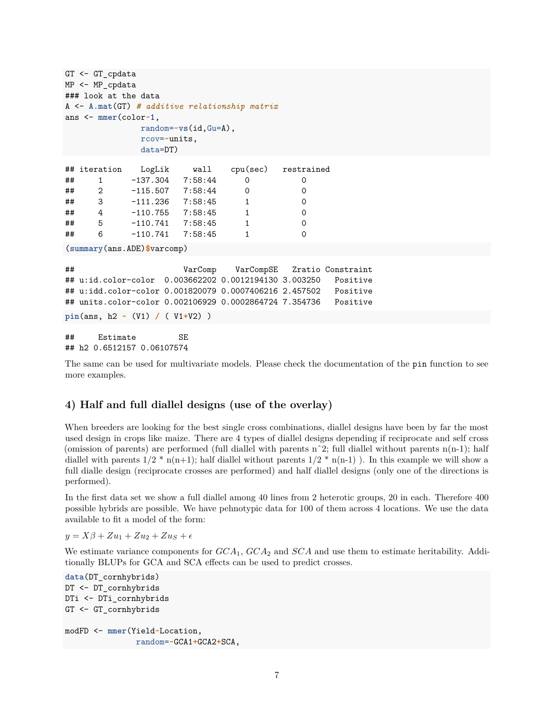```
GT <- GT_cpdata
MP <- MP_cpdata
### look at the data
A <- A.mat(GT) # additive relationship matrix
ans <- mmer(color~1,
            random=~vs(id,Gu=A),
            rcov=~units,
            data=DT)
## iteration LogLik wall cpu(sec) restrained
## 1 -137.304 7:58:44 0 0
## 2 -115.507 7:58:44 0 0
## 3 -111.236 7:58:45 1 0
## 4 -110.755 7:58:45 1 0
## 5 -110.741 7:58:45 1 0
## 6 -110.741 7:58:45 1 0
(summary(ans.ADE)$varcomp)
## VarComp VarCompSE Zratio Constraint
## u:id.color-color 0.003662202 0.0012194130 3.003250 Positive
## u:idd.color-color 0.001820079 0.0007406216 2.457502 Positive
## units.color-color 0.002106929 0.0002864724 7.354736 Positive
pin(ans, h2 ~ (V1) / ( V1+V2) )
## Estimate SE
## h2 0.6512157 0.06107574
```
The same can be used for multivariate models. Please check the documentation of the pin function to see more examples.

# **4) Half and full diallel designs (use of the overlay)**

When breeders are looking for the best single cross combinations, diallel designs have been by far the most used design in crops like maize. There are 4 types of diallel designs depending if reciprocate and self cross (omission of parents) are performed (full diallel with parents nˆ2; full diallel without parents n(n-1); half diallel with parents  $1/2$  \* n(n+1); half diallel without parents  $1/2$  \* n(n-1)). In this example we will show a full dialle design (reciprocate crosses are performed) and half diallel designs (only one of the directions is performed).

In the first data set we show a full diallel among 40 lines from 2 heterotic groups, 20 in each. Therefore 400 possible hybrids are possible. We have pehnotypic data for 100 of them across 4 locations. We use the data available to fit a model of the form:

 $y = X\beta + Zu_1 + Zu_2 + Zu_S + \epsilon$ 

We estimate variance components for *GCA*1, *GCA*<sup>2</sup> and *SCA* and use them to estimate heritability. Additionally BLUPs for GCA and SCA effects can be used to predict crosses.

```
data(DT_cornhybrids)
DT <- DT_cornhybrids
DTi <- DTi_cornhybrids
GT <- GT_cornhybrids
modFD <- mmer(Yield~Location,
               random=~GCA1+GCA2+SCA,
```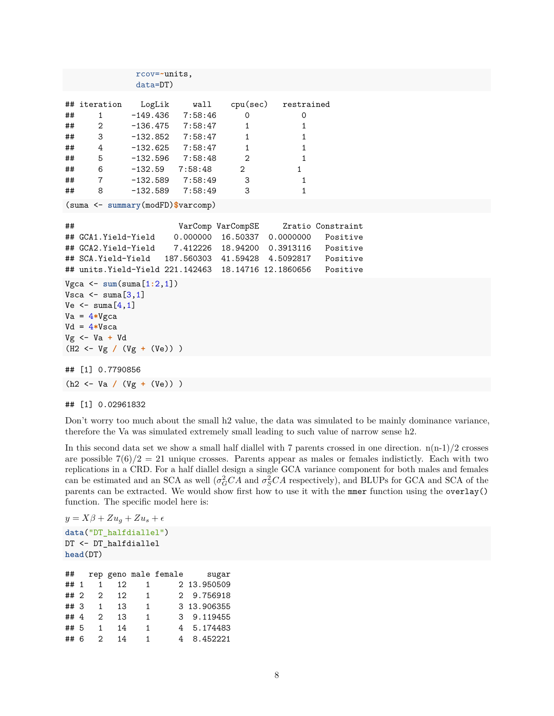```
rcov=~units,
           data=DT)
## iteration LogLik wall cpu(sec) restrained
## 1 -149.436 7:58:46 0 0
## 2 -136.475 7:58:47 1 1
## 3 -132.852 7:58:47 1 1
## 4 -132.625 7:58:47 1 1
## 5 -132.596 7:58:48 2 1
## 6 -132.59 7:58:48 2 1
## 7 -132.589 7:58:49 3 1
## 8 -132.589 7:58:49 3 1
(suma <- summary(modFD)$varcomp)
## VarComp VarCompSE Zratio Constraint
## GCA1.Yield-Yield 0.000000 16.50337 0.0000000 Positive
## GCA2.Yield-Yield 7.412226 18.94200 0.3913116 Positive
## SCA.Yield-Yield 187.560303 41.59428 4.5092817 Positive
## units.Yield-Yield 221.142463 18.14716 12.1860656 Positive
Vgca <- sum(suma[1:2,1])
Vsca \leq suma[3,1]Ve \leftarrow suma[4,1]Va = 4*Vgca
Vd = 4*Vsca
Vg <- Va + Vd
(H2 <- Vg / (Vg + (Ve)) )
## [1] 0.7790856
```
(h2 <- Va **/** (Vg **+** (Ve)) )

## [1] 0.02961832

Don't worry too much about the small h2 value, the data was simulated to be mainly dominance variance, therefore the Va was simulated extremely small leading to such value of narrow sense h2.

In this second data set we show a small half diallel with 7 parents crossed in one direction.  $n(n-1)/2$  crosses are possible  $7(6)/2 = 21$  unique crosses. Parents appear as males or females indistictly. Each with two replications in a CRD. For a half diallel design a single GCA variance component for both males and females can be estimated and an SCA as well  $(\sigma_G^2 CA \text{ and } \sigma_S^2 CA \text{ respectively})$ , and BLUPs for GCA and SCA of the parents can be extracted. We would show first how to use it with the mmer function using the overlay() function. The specific model here is:

```
y = X\beta + Zu_g + Zu_s + \epsilondata("DT_halfdiallel")
DT <- DT_halfdiallel
head(DT)
```

| ##     |   |                |                 |    | rep geno male female | sugar       |
|--------|---|----------------|-----------------|----|----------------------|-------------|
| ## 1   |   | 1              | 12              | 1  |                      | 2 13.950509 |
| $##$ 2 |   | $\overline{2}$ | 12 <sub>1</sub> | 1  |                      | 2 9.756918  |
| ## 3   |   | 1              | 13              | 1  |                      | 3 13.906355 |
| ##4    |   | $\mathcal{D}$  | 13              | 1  |                      | 3 9.119455  |
| ## 5   |   | 1              | 14              | 1  |                      | 4 5.174483  |
| ##     | 6 | $\mathcal{P}$  | 14              | 1. |                      | 4 8.452221  |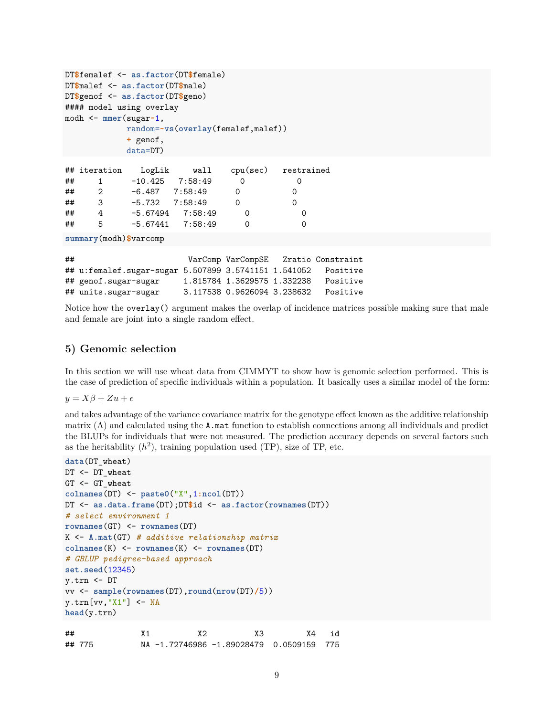```
DT$femalef <- as.factor(DT$female)
DT$malef <- as.factor(DT$male)
DT$genof <- as.factor(DT$geno)
#### model using overlay
modh <- mmer(sugar~1,
         random=~vs(overlay(femalef,malef))
         + genof,
         data=DT)
## iteration LogLik wall cpu(sec) restrained
## 1 -10.425 7:58:49 0 0
## 2 -6.487 7:58:49 0 0
## 3 -5.732 7:58:49 0 0
## 4 -5.67494 7:58:49 0 0
## 5 -5.67441 7:58:49 0 0
```
**summary**(modh)**\$**varcomp

| ## |                                                      | VarComp VarCompSE           | Zratio Constraint |
|----|------------------------------------------------------|-----------------------------|-------------------|
|    | ## u:femalef.sugar-sugar 5.507899 3.5741151 1.541052 |                             | Positive          |
|    | ## genof.sugar-sugar                                 | 1.815784 1.3629575 1.332238 | Positive          |
|    | ## units.sugar-sugar                                 | 3.117538 0.9626094 3.238632 | Positive          |

Notice how the overlay() argument makes the overlap of incidence matrices possible making sure that male and female are joint into a single random effect.

#### **5) Genomic selection**

In this section we will use wheat data from CIMMYT to show how is genomic selection performed. This is the case of prediction of specific individuals within a population. It basically uses a similar model of the form:

 $y = X\beta + Zu + \epsilon$ 

and takes advantage of the variance covariance matrix for the genotype effect known as the additive relationship matrix (A) and calculated using the A.mat function to establish connections among all individuals and predict the BLUPs for individuals that were not measured. The prediction accuracy depends on several factors such as the heritability  $(h^2)$ , training population used (TP), size of TP, etc.

```
data(DT_wheat)
DT <- DT_wheat
GT <- GT wheat
colnames(DT) <- paste0("X",1:ncol(DT))
DT <- as.data.frame(DT);DT$id <- as.factor(rownames(DT))
# select environment 1
rownames(GT) <- rownames(DT)
K <- A.mat(GT) # additive relationship matrix
colnames(K) <- rownames(K) <- rownames(DT)
# GBLUP pedigree-based approach
set.seed(12345)
y.trn <- DT
vv <- sample(rownames(DT),round(nrow(DT)/5))
y.trn[vv,"X1"] <- NA
head(y.trn)
## X1 X2 X3 X4 id
```
## 775 NA -1.72746986 -1.89028479 0.0509159 775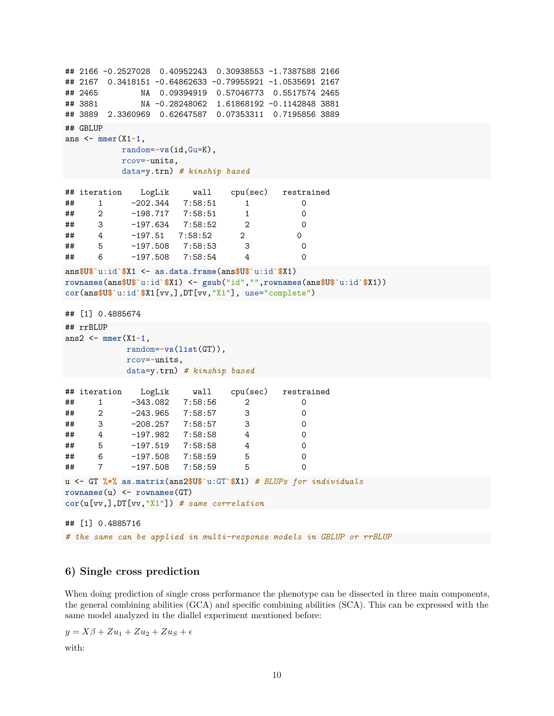```
## 2166 -0.2527028 0.40952243 0.30938553 -1.7387588 2166
## 2167 0.3418151 -0.64862633 -0.79955921 -1.0535691 2167
## 2465 NA 0.09394919 0.57046773 0.5517574 2465
## 3881 NA -0.28248062 1.61868192 -0.1142848 3881
## 3889 2.3360969 0.62647587 0.07353311 0.7195856 3889
## GBLUP
ans <- mmer(X1~1,
         random=~vs(id,Gu=K),
         rcov=~units,
         data=y.trn) # kinship based
## iteration LogLik wall cpu(sec) restrained
## 1 -202.344 7:58:51 1 0
## 2 -198.717 7:58:51 1
## 3 -197.634 7:58:52 2 0
## 4 -197.51 7:58:52 2 0
## 5 -197.508 7:58:53 3 0
## 6 -197.508 7:58:54 4 0
ans$U$`u:id`$X1 <- as.data.frame(ans$U$`u:id`$X1)
rownames(ans$U$`u:id`$X1) <- gsub("id","",rownames(ans$U$`u:id`$X1))
cor(ans$U$`u:id`$X1[vv,],DT[vv,"X1"], use="complete")
## [1] 0.4885674
## rrBLUP
ans2 <- mmer(X1~1,
          random=~vs(list(GT)),
          rcov=~units,
          data=y.trn) # kinship based
## iteration LogLik wall cpu(sec) restrained
## 1 -343.082 7:58:56 2 0
## 2 -243.965 7:58:57 3 0
## 3 -208.257 7:58:57 3 0
## 4 -197.982 7:58:58 4 0
## 5 -197.519 7:58:58 4 0
## 6 -197.508 7:58:59 5 0
## 7 -197.508 7:58:59 5 0
u <- GT %*% as.matrix(ans2$U$`u:GT`$X1) # BLUPs for individuals
rownames(u) <- rownames(GT)
cor(u[vv,],DT[vv,"X1"]) # same correlation
## [1] 0.4885716
```
*# the same can be applied in multi-response models in GBLUP or rrBLUP*

### **6) Single cross prediction**

When doing prediction of single cross performance the phenotype can be dissected in three main components, the general combining abilities (GCA) and specific combining abilities (SCA). This can be expressed with the same model analyzed in the diallel experiment mentioned before:

 $y = X\beta + Zu_1 + Zu_2 + Zu_S + \epsilon$ 

with: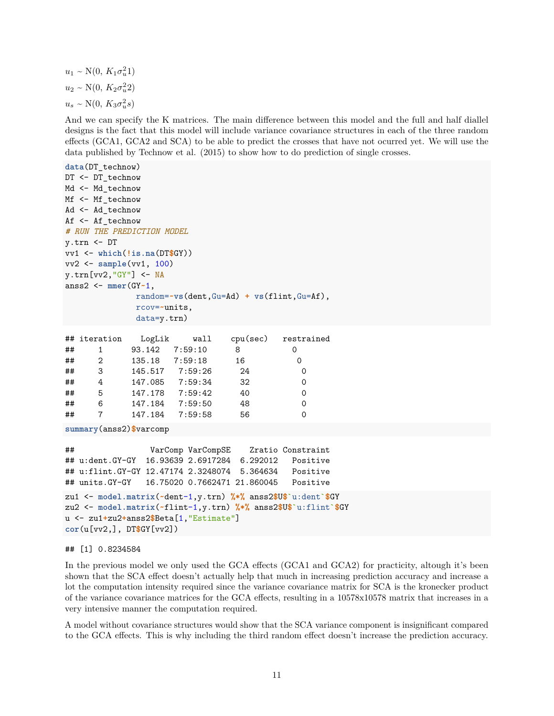$u_1 \sim N(0, K_1 \sigma_u^2 1)$  $u_2 \sim N(0, K_2 \sigma_u^2 2)$  $u_s \sim \text{N}(0, K_3 \sigma_u^2 s)$ 

And we can specify the K matrices. The main difference between this model and the full and half diallel designs is the fact that this model will include variance covariance structures in each of the three random effects (GCA1, GCA2 and SCA) to be able to predict the crosses that have not ocurred yet. We will use the data published by Technow et al. (2015) to show how to do prediction of single crosses.

```
data(DT_technow)
DT <- DT_technow
Md <- Md technow
Mf <- Mf_technow
Ad <- Ad_technow
Af <- Af_technow
# RUN THE PREDICTION MODEL
y.trn <- DT
vv1 <- which(!is.na(DT$GY))
vv2 <- sample(vv1, 100)
y.trn[vv2,"GY"] <- NA
anss2 <- mmer(GY~1,
               random=~vs(dent,Gu=Ad) + vs(flint,Gu=Af),
               rcov=~units,
               data=y.trn)
```

|    | ## iteration | LogLik         | wall            |    | cpu(sec) restrained |
|----|--------------|----------------|-----------------|----|---------------------|
| ## |              | 93.142         | 7:59:10         | 8  | 0                   |
| ## | 2            | 135.18 7:59:18 |                 | 16 | 0                   |
| ## | 3            | 145.517        | 7:59:26         | 24 | 0                   |
| ## | 4            |                | 147.085 7:59:34 | 32 | 0                   |
| ## | 5            | 147.178        | 7:59:42         | 40 | 0                   |
| ## | 6            | 147.184        | 7:59:50         | 48 | 0                   |
| ## |              | 147.184        | 7:59:58         | 56 |                     |

**summary**(anss2)**\$**varcomp

```
## VarComp VarCompSE Zratio Constraint
## u:dent.GY-GY 16.93639 2.6917284 6.292012 Positive
## u:flint.GY-GY 12.47174 2.3248074 5.364634 Positive
## units.GY-GY 16.75020 0.7662471 21.860045 Positive
```

```
zu1 <- model.matrix(~dent-1,y.trn) %*% anss2$U$`u:dent`$GY
zu2 <- model.matrix(~flint-1,y.trn) %*% anss2$U$`u:flint`$GY
u <- zu1+zu2+anss2$Beta[1,"Estimate"]
cor(u[vv2,], DT$GY[vv2])
```
#### ## [1] 0.8234584

In the previous model we only used the GCA effects (GCA1 and GCA2) for practicity, altough it's been shown that the SCA effect doesn't actually help that much in increasing prediction accuracy and increase a lot the computation intensity required since the variance covariance matrix for SCA is the kronecker product of the variance covariance matrices for the GCA effects, resulting in a 10578x10578 matrix that increases in a very intensive manner the computation required.

A model without covariance structures would show that the SCA variance component is insignificant compared to the GCA effects. This is why including the third random effect doesn't increase the prediction accuracy.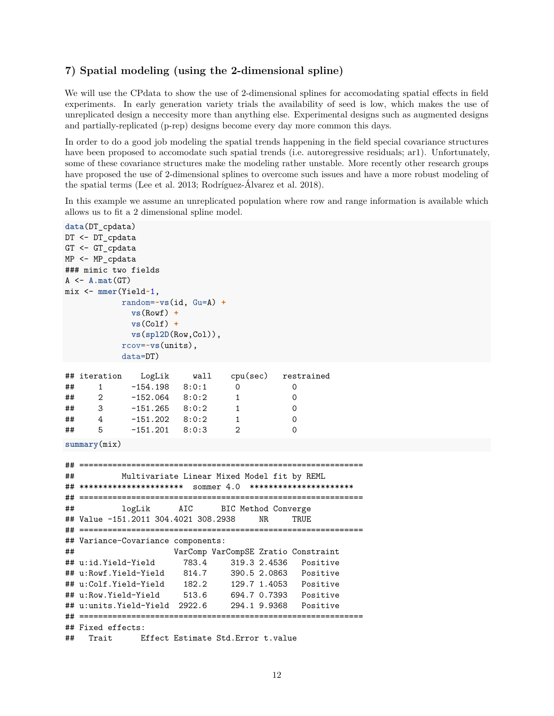## **7) Spatial modeling (using the 2-dimensional spline)**

We will use the CPdata to show the use of 2-dimensional splines for accomodating spatial effects in field experiments. In early generation variety trials the availability of seed is low, which makes the use of unreplicated design a neccesity more than anything else. Experimental designs such as augmented designs and partially-replicated (p-rep) designs become every day more common this days.

In order to do a good job modeling the spatial trends happening in the field special covariance structures have been proposed to accomodate such spatial trends (i.e. autoregressive residuals; ar1). Unfortunately, some of these covariance structures make the modeling rather unstable. More recently other research groups have proposed the use of 2-dimensional splines to overcome such issues and have a more robust modeling of the spatial terms (Lee et al. 2013; Rodríguez-Álvarez et al. 2018).

In this example we assume an unreplicated population where row and range information is available which allows us to fit a 2 dimensional spline model.

```
data(DT_cpdata)
DT <- DT_cpdata
GT <- GT_cpdata
MP <- MP_cpdata
### mimic two fields
A \leftarrow A.mat(GT)mix <- mmer(Yield~1,
          random=~vs(id, Gu=A) +
           vs(Rowf) +
           vs(Colf) +
           vs(spl2D(Row,Col)),
          rcov=~vs(units),
          data=DT)
## iteration LogLik wall cpu(sec) restrained
## 1 -154.198 8:0:1 0 0
## 2 -152.064 8:0:2 1 0
## 3 -151.265 8:0:2 1 0
## 4 -151.202 8:0:2 1 0
## 5 -151.201 8:0:3 2 0
summary(mix)
## ============================================================
## Multivariate Linear Mixed Model fit by REML
## ********************** sommer 4.0 **********************
## ============================================================
## logLik AIC BIC Method Converge
## Value -151.2011 304.4021 308.2938 NR TRUE
## ============================================================
## Variance-Covariance components:
## VarComp VarCompSE Zratio Constraint
## u:id.Yield-Yield 783.4 319.3 2.4536 Positive
## u:Rowf.Yield-Yield 814.7 390.5 2.0863 Positive
## u:Colf.Yield-Yield 182.2 129.7 1.4053 Positive
## u:Row.Yield-Yield 513.6 694.7 0.7393 Positive
## u:units.Yield-Yield 2922.6 294.1 9.9368 Positive
## ============================================================
## Fixed effects:
## Trait Effect Estimate Std.Error t.value
```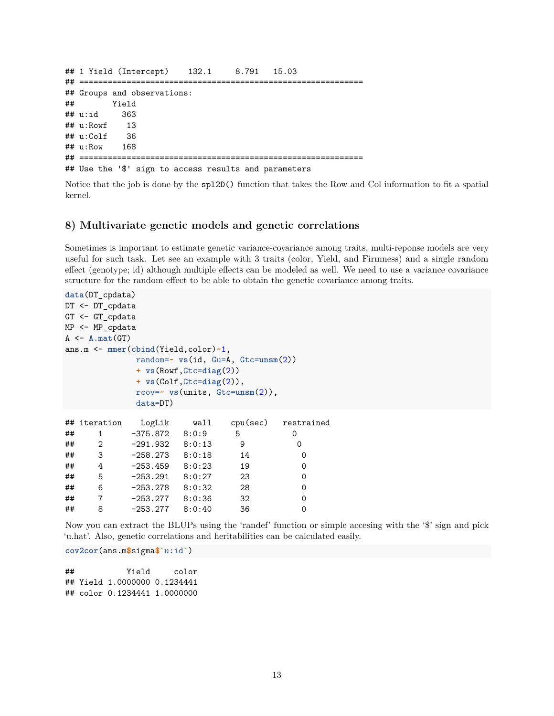```
## 1 Yield (Intercept) 132.1 8.791 15.03
## ============================================================
## Groups and observations:
## Yield
## u:id 363
## u:Rowf 13
## u:Colf 36
## u:Row 168
## ============================================================
## Use the '$' sign to access results and parameters
```
Notice that the job is done by the spl2D() function that takes the Row and Col information to fit a spatial kernel.

### **8) Multivariate genetic models and genetic correlations**

Sometimes is important to estimate genetic variance-covariance among traits, multi-reponse models are very useful for such task. Let see an example with 3 traits (color, Yield, and Firmness) and a single random effect (genotype; id) although multiple effects can be modeled as well. We need to use a variance covariance structure for the random effect to be able to obtain the genetic covariance among traits.

```
data(DT_cpdata)
DT <- DT_cpdata
GT <- GT_cpdata
MP <- MP_cpdata
A \leftarrow A.mat(GT)ans.m <- mmer(cbind(Yield,color)~1,
          random=~ vs(id, Gu=A, Gtc=unsm(2))
          + vs(Rowf,Gtc=diag(2))
          + vs(Colf,Gtc=diag(2)),
          rcov=~ vs(units, Gtc=unsm(2)),
          data=DT)
## iteration LogLik wall cpu(sec) restrained
## 1 -375.872 8:0:9 5 0
## 2 -291.932 8:0:13 9 0
## 3 -258.273 8:0:18 14 0
## 4 -253.459 8:0:23 19 0
## 5 -253.291 8:0:27 23 0
## 6 -253.278 8:0:32 28 0
## 7 -253.277 8:0:36 32 0
## 8 -253.277 8:0:40 36 0
```
Now you can extract the BLUPs using the 'randef' function or simple accesing with the '\$' sign and pick 'u.hat'. Also, genetic correlations and heritabilities can be calculated easily.

**cov2cor**(ans.m**\$**sigma**\$**`u:id`)

## Yield color ## Yield 1.0000000 0.1234441 ## color 0.1234441 1.0000000